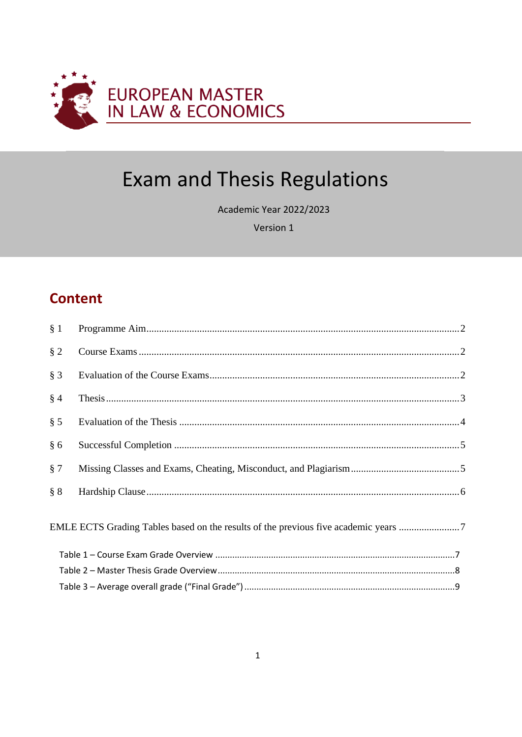

# **Exam and Thesis Regulations**

Academic Year 2022/2023

Version 1

# **Content**

| § 1   |                                                                                     |  |
|-------|-------------------------------------------------------------------------------------|--|
| § 2   |                                                                                     |  |
| $§$ 3 |                                                                                     |  |
| § 4   |                                                                                     |  |
| § 5   |                                                                                     |  |
| § 6   |                                                                                     |  |
| § 7   |                                                                                     |  |
| § 8   |                                                                                     |  |
|       | EMLE ECTS Grading Tables based on the results of the previous five academic years 7 |  |
|       |                                                                                     |  |
|       |                                                                                     |  |
|       |                                                                                     |  |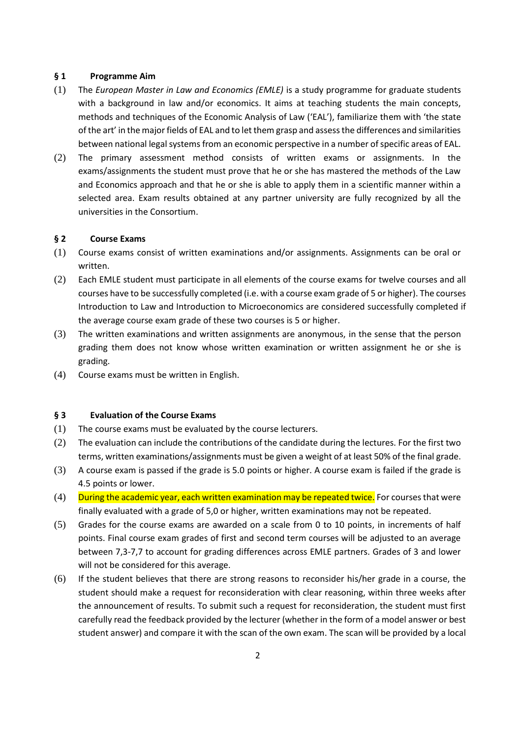# <span id="page-1-0"></span>**§ 1 Programme Aim**

- (1) The *European Master in Law and Economics (EMLE)* is a study programme for graduate students with a background in law and/or economics. It aims at teaching students the main concepts, methods and techniques of the Economic Analysis of Law ('EAL'), familiarize them with 'the state of the art' in the major fields of EAL and to let them grasp and assess the differences and similarities between national legal systems from an economic perspective in a number of specific areas of EAL.
- (2) The primary assessment method consists of written exams or assignments. In the exams/assignments the student must prove that he or she has mastered the methods of the Law and Economics approach and that he or she is able to apply them in a scientific manner within a selected area. Exam results obtained at any partner university are fully recognized by all the universities in the Consortium.

#### <span id="page-1-1"></span>**§ 2 Course Exams**

- (1) Course exams consist of written examinations and/or assignments. Assignments can be oral or written.
- (2) Each EMLE student must participate in all elements of the course exams for twelve courses and all courses have to be successfully completed (i.e. with a course exam grade of 5 or higher). The courses Introduction to Law and Introduction to Microeconomics are considered successfully completed if the average course exam grade of these two courses is 5 or higher.
- (3) The written examinations and written assignments are anonymous, in the sense that the person grading them does not know whose written examination or written assignment he or she is grading.
- (4) Course exams must be written in English.

### <span id="page-1-2"></span>**§ 3 Evaluation of the Course Exams**

- (1) The course exams must be evaluated by the course lecturers.
- (2) The evaluation can include the contributions of the candidate during the lectures. For the first two terms, written examinations/assignments must be given a weight of at least 50% of the final grade.
- (3) A course exam is passed if the grade is 5.0 points or higher. A course exam is failed if the grade is 4.5 points or lower.
- $(4)$  During the academic year, each written examination may be repeated twice. For courses that were finally evaluated with a grade of 5,0 or higher, written examinations may not be repeated.
- (5) Grades for the course exams are awarded on a scale from 0 to 10 points, in increments of half points. Final course exam grades of first and second term courses will be adjusted to an average between 7,3-7,7 to account for grading differences across EMLE partners. Grades of 3 and lower will not be considered for this average.
- (6) If the student believes that there are strong reasons to reconsider his/her grade in a course, the student should make a request for reconsideration with clear reasoning, within three weeks after the announcement of results. To submit such a request for reconsideration, the student must first carefully read the feedback provided by the lecturer (whether in the form of a model answer or best student answer) and compare it with the scan of the own exam. The scan will be provided by a local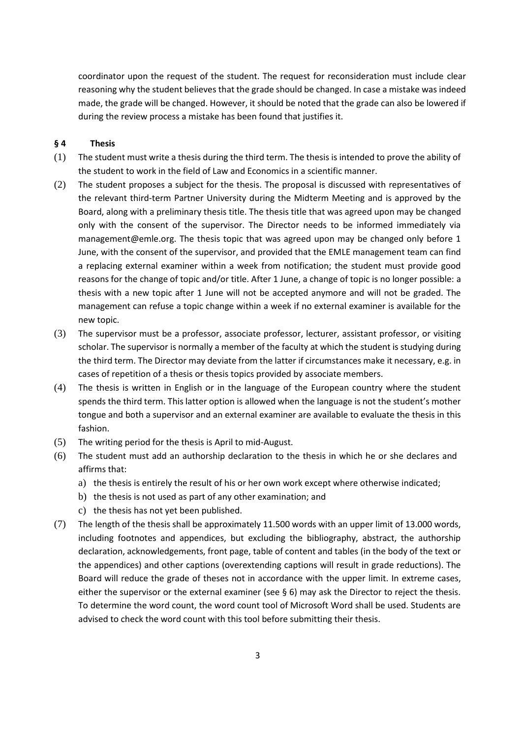coordinator upon the request of the student. The request for reconsideration must include clear reasoning why the student believes that the grade should be changed. In case a mistake was indeed made, the grade will be changed. However, it should be noted that the grade can also be lowered if during the review process a mistake has been found that justifies it.

# <span id="page-2-0"></span>**§ 4 Thesis**

- (1) The student must write a thesis during the third term. The thesis is intended to prove the ability of the student to work in the field of Law and Economics in a scientific manner.
- (2) The student proposes a subject for the thesis. The proposal is discussed with representatives of the relevant third-term Partner University during the Midterm Meeting and is approved by the Board, along with a preliminary thesis title. The thesis title that was agreed upon may be changed only with the consent of the supervisor. The Director needs to be informed immediately via management@emle.org. The thesis topic that was agreed upon may be changed only before 1 June, with the consent of the supervisor, and provided that the EMLE management team can find a replacing external examiner within a week from notification; the student must provide good reasons for the change of topic and/or title. After 1 June, a change of topic is no longer possible: a thesis with a new topic after 1 June will not be accepted anymore and will not be graded. The management can refuse a topic change within a week if no external examiner is available for the new topic.
- (3) The supervisor must be a professor, associate professor, lecturer, assistant professor, or visiting scholar. The supervisor is normally a member of the faculty at which the student is studying during the third term. The Director may deviate from the latter if circumstances make it necessary, e.g. in cases of repetition of a thesis or thesis topics provided by associate members.
- (4) The thesis is written in English or in the language of the European country where the student spends the third term. This latter option is allowed when the language is not the student's mother tongue and both a supervisor and an external examiner are available to evaluate the thesis in this fashion.
- (5) The writing period for the thesis is April to mid-August.
- (6) The student must add an authorship declaration to the thesis in which he or she declares and affirms that:
	- a) the thesis is entirely the result of his or her own work except where otherwise indicated;
	- b) the thesis is not used as part of any other examination; and
	- c) the thesis has not yet been published.
- (7) The length of the thesis shall be approximately 11.500 words with an upper limit of 13.000 words, including footnotes and appendices, but excluding the bibliography, abstract, the authorship declaration, acknowledgements, front page, table of content and tables (in the body of the text or the appendices) and other captions (overextending captions will result in grade reductions). The Board will reduce the grade of theses not in accordance with the upper limit. In extreme cases, either the supervisor or the external examiner (see § 6) may ask the Director to reject the thesis. To determine the word count, the word count tool of Microsoft Word shall be used. Students are advised to check the word count with this tool before submitting their thesis.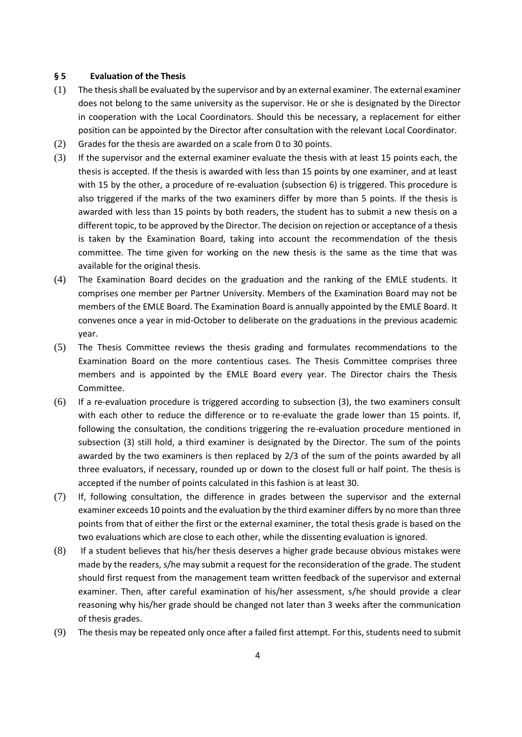### <span id="page-3-0"></span>**§ 5 Evaluation of the Thesis**

- (1) The thesis shall be evaluated by the supervisor and by an external examiner. The external examiner does not belong to the same university as the supervisor. He or she is designated by the Director in cooperation with the Local Coordinators. Should this be necessary, a replacement for either position can be appointed by the Director after consultation with the relevant Local Coordinator.
- (2) Grades for the thesis are awarded on a scale from 0 to 30 points.
- (3) If the supervisor and the external examiner evaluate the thesis with at least 15 points each, the thesis is accepted. If the thesis is awarded with less than 15 points by one examiner, and at least with 15 by the other, a procedure of re-evaluation (subsection 6) is triggered. This procedure is also triggered if the marks of the two examiners differ by more than 5 points. If the thesis is awarded with less than 15 points by both readers, the student has to submit a new thesis on a different topic, to be approved by the Director. The decision on rejection or acceptance of a thesis is taken by the Examination Board, taking into account the recommendation of the thesis committee. The time given for working on the new thesis is the same as the time that was available for the original thesis.
- (4) The Examination Board decides on the graduation and the ranking of the EMLE students. It comprises one member per Partner University. Members of the Examination Board may not be members of the EMLE Board. The Examination Board is annually appointed by the EMLE Board. It convenes once a year in mid-October to deliberate on the graduations in the previous academic year.
- (5) The Thesis Committee reviews the thesis grading and formulates recommendations to the Examination Board on the more contentious cases. The Thesis Committee comprises three members and is appointed by the EMLE Board every year. The Director chairs the Thesis Committee.
- (6) If a re-evaluation procedure is triggered according to subsection (3), the two examiners consult with each other to reduce the difference or to re-evaluate the grade lower than 15 points. If, following the consultation, the conditions triggering the re-evaluation procedure mentioned in subsection (3) still hold, a third examiner is designated by the Director. The sum of the points awarded by the two examiners is then replaced by 2/3 of the sum of the points awarded by all three evaluators, if necessary, rounded up or down to the closest full or half point. The thesis is accepted if the number of points calculated in this fashion is at least 30.
- (7) If, following consultation, the difference in grades between the supervisor and the external examiner exceeds 10 points and the evaluation by the third examiner differs by no more than three points from that of either the first or the external examiner, the total thesis grade is based on the two evaluations which are close to each other, while the dissenting evaluation is ignored.
- (8) If a student believes that his/her thesis deserves a higher grade because obvious mistakes were made by the readers, s/he may submit a request for the reconsideration of the grade. The student should first request from the management team written feedback of the supervisor and external examiner. Then, after careful examination of his/her assessment, s/he should provide a clear reasoning why his/her grade should be changed not later than 3 weeks after the communication of thesis grades.
- (9) The thesis may be repeated only once after a failed first attempt. For this, students need to submit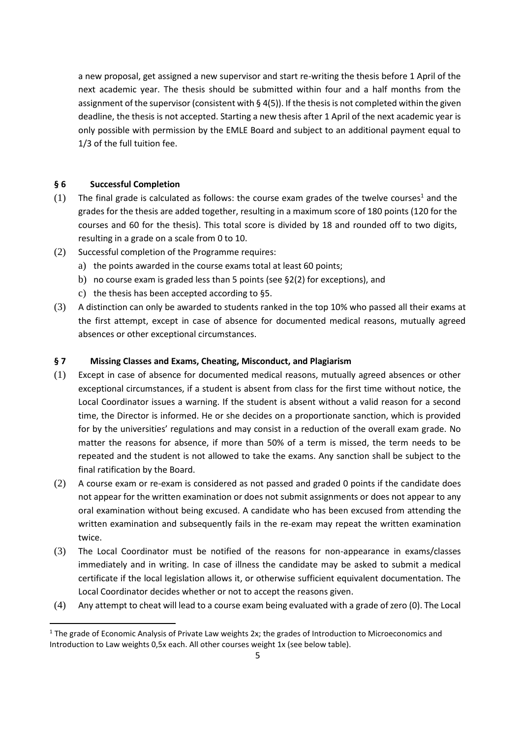a new proposal, get assigned a new supervisor and start re-writing the thesis before 1 April of the next academic year. The thesis should be submitted within four and a half months from the assignment of the supervisor (consistent with  $\S$  4(5)). If the thesis is not completed within the given deadline, the thesis is not accepted. Starting a new thesis after 1 April of the next academic year is only possible with permission by the EMLE Board and subject to an additional payment equal to 1/3 of the full tuition fee.

# <span id="page-4-0"></span>**§ 6 Successful Completion**

- (1) The final grade is calculated as follows: the course exam grades of the twelve courses<sup>1</sup> and the grades for the thesis are added together, resulting in a maximum score of 180 points (120 for the courses and 60 for the thesis). This total score is divided by 18 and rounded off to two digits, resulting in a grade on a scale from 0 to 10.
- (2) Successful completion of the Programme requires:
	- a) the points awarded in the course exams total at least 60 points;
	- b) no course exam is graded less than 5 points (see §2(2) for exceptions), and
	- c) the thesis has been accepted according to §5.
- (3) A distinction can only be awarded to students ranked in the top 10% who passed all their exams at the first attempt, except in case of absence for documented medical reasons, mutually agreed absences or other exceptional circumstances.

# <span id="page-4-1"></span>**§ 7 Missing Classes and Exams, Cheating, Misconduct, and Plagiarism**

- (1) Except in case of absence for documented medical reasons, mutually agreed absences or other exceptional circumstances, if a student is absent from class for the first time without notice, the Local Coordinator issues a warning. If the student is absent without a valid reason for a second time, the Director is informed. He or she decides on a proportionate sanction, which is provided for by the universities' regulations and may consist in a reduction of the overall exam grade. No matter the reasons for absence, if more than 50% of a term is missed, the term needs to be repeated and the student is not allowed to take the exams. Any sanction shall be subject to the final ratification by the Board.
- (2) A course exam or re-exam is considered as not passed and graded 0 points if the candidate does not appear for the written examination or does not submit assignments or does not appear to any oral examination without being excused. A candidate who has been excused from attending the written examination and subsequently fails in the re-exam may repeat the written examination twice.
- (3) The Local Coordinator must be notified of the reasons for non-appearance in exams/classes immediately and in writing. In case of illness the candidate may be asked to submit a medical certificate if the local legislation allows it, or otherwise sufficient equivalent documentation. The Local Coordinator decides whether or not to accept the reasons given.
- (4) Any attempt to cheat will lead to a course exam being evaluated with a grade of zero (0). The Local

<sup>&</sup>lt;sup>1</sup> The grade of Economic Analysis of Private Law weights 2x; the grades of Introduction to Microeconomics and Introduction to Law weights 0,5x each. All other courses weight 1x (see below table).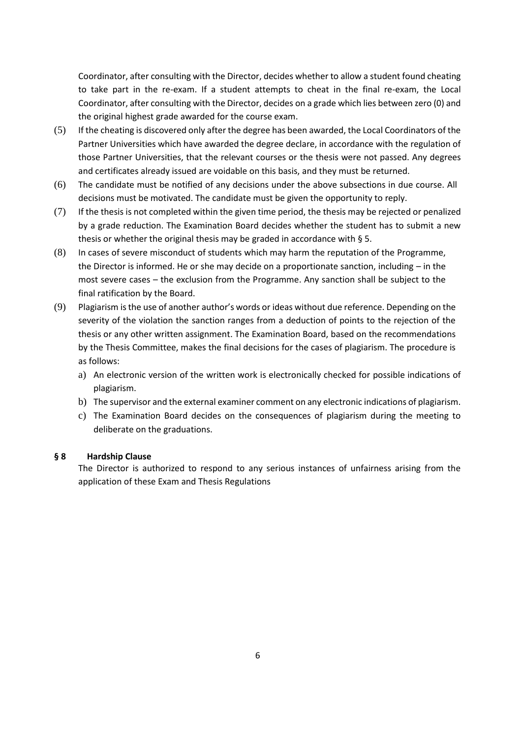Coordinator, after consulting with the Director, decides whether to allow a student found cheating to take part in the re-exam. If a student attempts to cheat in the final re-exam, the Local Coordinator, after consulting with the Director, decides on a grade which lies between zero (0) and the original highest grade awarded for the course exam.

- (5) If the cheating is discovered only after the degree has been awarded, the Local Coordinators of the Partner Universities which have awarded the degree declare, in accordance with the regulation of those Partner Universities, that the relevant courses or the thesis were not passed. Any degrees and certificates already issued are voidable on this basis, and they must be returned.
- (6) The candidate must be notified of any decisions under the above subsections in due course. All decisions must be motivated. The candidate must be given the opportunity to reply.
- (7) If the thesis is not completed within the given time period, the thesis may be rejected or penalized by a grade reduction. The Examination Board decides whether the student has to submit a new thesis or whether the original thesis may be graded in accordance with § 5.
- (8) In cases of severe misconduct of students which may harm the reputation of the Programme, the Director is informed. He or she may decide on a proportionate sanction, including – in the most severe cases – the exclusion from the Programme. Any sanction shall be subject to the final ratification by the Board.
- (9) Plagiarism is the use of another author's words or ideas without due reference. Depending on the severity of the violation the sanction ranges from a deduction of points to the rejection of the thesis or any other written assignment. The Examination Board, based on the recommendations by the Thesis Committee, makes the final decisions for the cases of plagiarism. The procedure is as follows:
	- a) An electronic version of the written work is electronically checked for possible indications of plagiarism.
	- b) The supervisor and the external examiner comment on any electronic indications of plagiarism.
	- c) The Examination Board decides on the consequences of plagiarism during the meeting to deliberate on the graduations.

# <span id="page-5-0"></span>**§ 8 Hardship Clause**

The Director is authorized to respond to any serious instances of unfairness arising from the application of these Exam and Thesis Regulations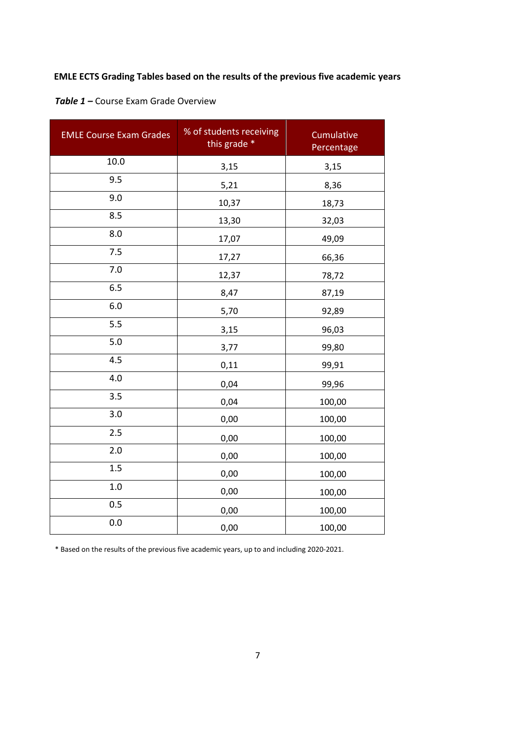# <span id="page-6-0"></span>**EMLE ECTS Grading Tables based on the results of the previous five academic years**

<span id="page-6-1"></span>

| <b>EMLE Course Exam Grades</b> | % of students receiving<br>this grade * | Cumulative<br>Percentage |
|--------------------------------|-----------------------------------------|--------------------------|
| 10.0                           | 3,15                                    | 3,15                     |
| 9.5                            | 5,21                                    | 8,36                     |
| 9.0                            | 10,37                                   | 18,73                    |
| 8.5                            | 13,30                                   | 32,03                    |
| 8.0                            | 17,07                                   | 49,09                    |
| 7.5                            | 17,27                                   | 66,36                    |
| 7.0                            | 12,37                                   | 78,72                    |
| 6.5                            | 8,47                                    | 87,19                    |
| 6.0                            | 5,70                                    | 92,89                    |
| 5.5                            | 3,15                                    | 96,03                    |
| 5.0                            | 3,77                                    | 99,80                    |
| 4.5                            | 0,11                                    | 99,91                    |
| 4.0                            | 0,04                                    | 99,96                    |
| 3.5                            | 0,04                                    | 100,00                   |
| 3.0                            | 0,00                                    | 100,00                   |
| 2.5                            | 0,00                                    | 100,00                   |
| 2.0                            | 0,00                                    | 100,00                   |
| 1.5                            | 0,00                                    | 100,00                   |
| 1.0                            | 0,00                                    | 100,00                   |
| 0.5                            | 0,00                                    | 100,00                   |
| 0.0                            | 0,00                                    | 100,00                   |

\* Based on the results of the previous five academic years, up to and including 2020-2021.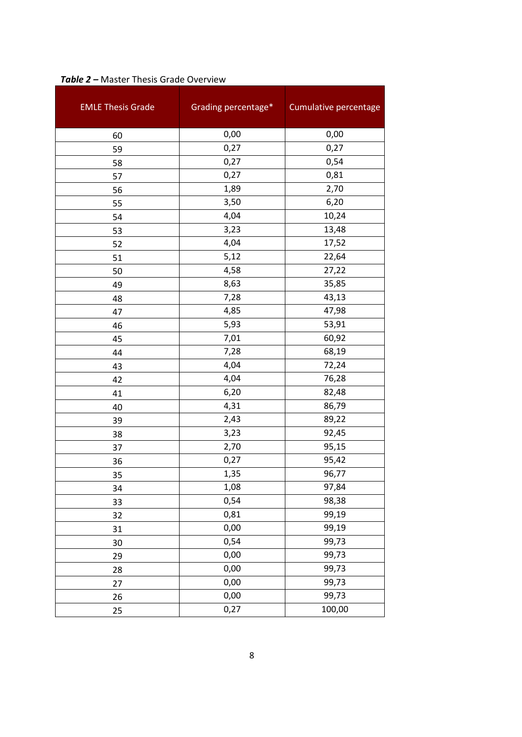| <b>EMLE Thesis Grade</b> | Grading percentage* | Cumulative percentage |
|--------------------------|---------------------|-----------------------|
| 60                       | 0,00                | 0,00                  |
| 59                       | 0,27                | 0,27                  |
| 58                       | 0,27                | 0,54                  |
| 57                       | 0,27                | 0,81                  |
| 56                       | 1,89                | 2,70                  |
| 55                       | 3,50                | 6,20                  |
| 54                       | 4,04                | 10,24                 |
| 53                       | 3,23                | 13,48                 |
| 52                       | 4,04                | 17,52                 |
| 51                       | 5,12                | 22,64                 |
| 50                       | 4,58                | 27,22                 |
| 49                       | 8,63                | 35,85                 |
| 48                       | 7,28                | 43,13                 |
| 47                       | 4,85                | 47,98                 |
| 46                       | 5,93                | 53,91                 |
| 45                       | 7,01                | 60,92                 |
| 44                       | 7,28                | 68,19                 |
| 43                       | 4,04                | 72,24                 |
| 42                       | 4,04                | 76,28                 |
| 41                       | 6,20                | 82,48                 |
| 40                       | 4,31                | 86,79                 |
| 39                       | 2,43                | 89,22                 |
| 38                       | 3,23                | 92,45                 |
| 37                       | 2,70                | 95,15                 |
| 36                       | 0,27                | 95,42                 |
| 35                       | 1,35                | 96,77                 |
| 34                       | 1,08                | 97,84                 |
| 33                       | 0,54                | 98,38                 |
| 32                       | 0,81                | 99,19                 |
| 31                       | 0,00                | 99,19                 |
| 30                       | 0,54                | 99,73                 |
| 29                       | 0,00                | 99,73                 |
| 28                       | 0,00                | 99,73                 |
| 27                       | 0,00                | 99,73                 |
| 26                       | 0,00                | 99,73                 |
| 25                       | 0,27                | 100,00                |

# <span id="page-7-0"></span>*Table 2 –* Master Thesis Grade Overview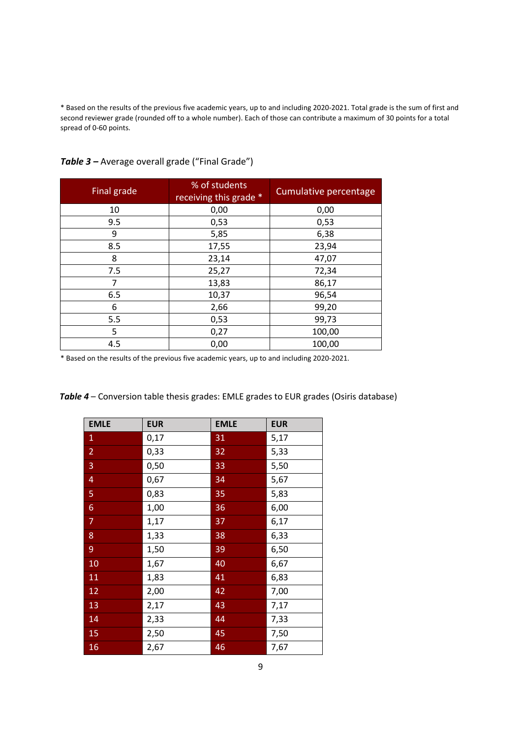\* Based on the results of the previous five academic years, up to and including 2020-2021. Total grade is the sum of first and second reviewer grade (rounded off to a whole number). Each of those can contribute a maximum of 30 points for a total spread of 0-60 points.

| Final grade | % of students<br>receiving this grade * | Cumulative percentage |
|-------------|-----------------------------------------|-----------------------|
| 10          | 0,00                                    | 0,00                  |
| 9.5         | 0,53                                    | 0,53                  |
| 9           | 5,85                                    | 6,38                  |
| 8.5         | 17,55                                   | 23,94                 |
| 8           | 23,14                                   | 47,07                 |
| 7.5         | 25,27                                   | 72,34                 |
| 7           | 13,83                                   | 86,17                 |
| 6.5         | 10,37                                   | 96,54                 |
| 6           | 2,66                                    | 99,20                 |
| 5.5         | 0,53                                    | 99,73                 |
| 5           | 0,27                                    | 100,00                |
| 4.5         | 0,00                                    | 100,00                |

<span id="page-8-0"></span>*Table 3 –* Average overall grade ("Final Grade")

\* Based on the results of the previous five academic years, up to and including 2020-2021.

| <b>EMLE</b>      | <b>EUR</b> | <b>EMLE</b> | <b>EUR</b> |
|------------------|------------|-------------|------------|
| $\mathbf{1}$     | 0,17       | 31          | 5,17       |
| $\overline{2}$   | 0,33       | 32          | 5,33       |
| 3                | 0,50       | 33          | 5,50       |
| $\overline{4}$   | 0,67       | 34          | 5,67       |
| 5                | 0,83       | 35          | 5,83       |
| $6 \overline{6}$ | 1,00       | 36          | 6,00       |
| 7                | 1,17       | 37          | 6,17       |
| 8                | 1,33       | 38          | 6,33       |
| 9                | 1,50       | 39          | 6,50       |
| 10               | 1,67       | 40          | 6,67       |
| 11               | 1,83       | 41          | 6,83       |
| 12               | 2,00       | 42          | 7,00       |
| 13               | 2,17       | 43          | 7,17       |
| 14               | 2,33       | 44          | 7,33       |
| 15               | 2,50       | 45          | 7,50       |
| 16               | 2,67       | 46          | 7,67       |

*Table 4* – Conversion table thesis grades: EMLE grades to EUR grades (Osiris database)